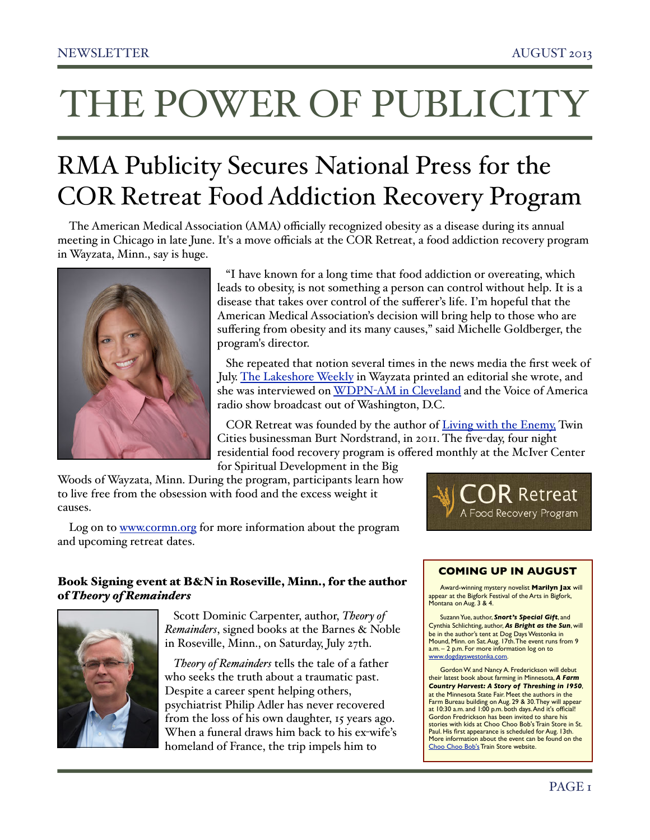# THE POWER OF PUBLICITY

## RMA Publicity Secures National Press for the COR Retreat Food Addiction Recovery Program

The American Medical Association (AMA) officially recognized obesity as a disease during its annual meeting in Chicago in late June. It's a move officials at the COR Retreat, a food addiction recovery program in Wayzata, Minn., say is huge.



 "I have known for a long time that food addiction or overeating, which leads to obesity, is not something a person can control without help. It is a disease that takes over control of the sufferer's life. I'm hopeful that the American Medical Association's decision will bring help to those who are suffering from obesity and its many causes," said Michelle Goldberger, the program's director.

 She repeated that notion several times in the news media the first week of July. [The Lakeshore Weekly](http://www.weeklynews.com/main.asp?SectionID=16&SubSectionID=54&ArticleID=11649&TM=85862.33) in Wayzata printed an editorial she wrote, and she was interviewed on WDPN-[AM in Cleveland](http://www.rmapublicity.com/images/stories/Audio/COR%20Retreat%20-%20WDPM%20Radio,%20Cleveland%20-%20July%202,%202013.mp3) and the Voice of America radio show broadcast out of Washington, D.C.

COR Retreat was founded by the author of [Living with the Enemy,](http://www.livingwiththeenemy.net/) Twin Cities businessman Burt Nordstrand, in 2011. The five-day, four night residential food recovery program is offered monthly at the McIver Center for Spiritual Development in the Big

Woods of Wayzata, Minn. During the program, participants learn how to live free from the obsession with food and the excess weight it causes.



Log on to [www.cormn.org](http://www.cormn.org/) for more information about the program and upcoming retreat dates.

## Book Signing event at B&N in Roseville, Minn., for the author of *Theory of Remainders*



 Scott Dominic Carpenter, author, *Theory of Remainders*, signed books at the Barnes & Noble in Roseville, Minn., on Saturday, July 27th.

 *Theory of Remainders* tells the tale of a father who seeks the truth about a traumatic past. Despite a career spent helping others, psychiatrist Philip Adler has never recovered from the loss of his own daughter, 15 years ago. When a funeral draws him back to his ex-wife's homeland of France, the trip impels him to

## **COMING UP IN AUGUST**

Award-winning mystery novelist **Marilyn Jax** will appear at the Bigfork Festival of the Arts in Bigfork,<br>Montana on Aug. 3 & 4.

Suzann Yue, author, *Snort's Special Gift*, and Cynthia Schlichting, author, *As Bright as the Sun*, will be in the author's tent at Dog Days Westonka in<br>Mound, Minn. on Sat. Aug. 17th. The event runs from 9 a.m. – 2 p.m. For more information log on to [www.dogdayswestonka.com.](http://www.dogdayswestonka.com)

Gordon W. and Nancy A. Frederickson will debut their latest book about farming in Minnesota, *A Farm Country Harvest: A Story of Threshing in 1950*, at the Minnesota State Fair. Meet the authors in the Farm Bureau building on Aug. 29 & 30. They will appear at 10:30 a.m. and 1:00 p.m. both days. And it's official! Gordon Fredrickson has been invited to share his stories with kids at Choo Choo Bob's Train Store in St. Paul. His first appearance is scheduled for Aug. 13th. More information about the event can be found on the [Choo Choo Bob's](http://choochoobobs.com/events/) Train Store website.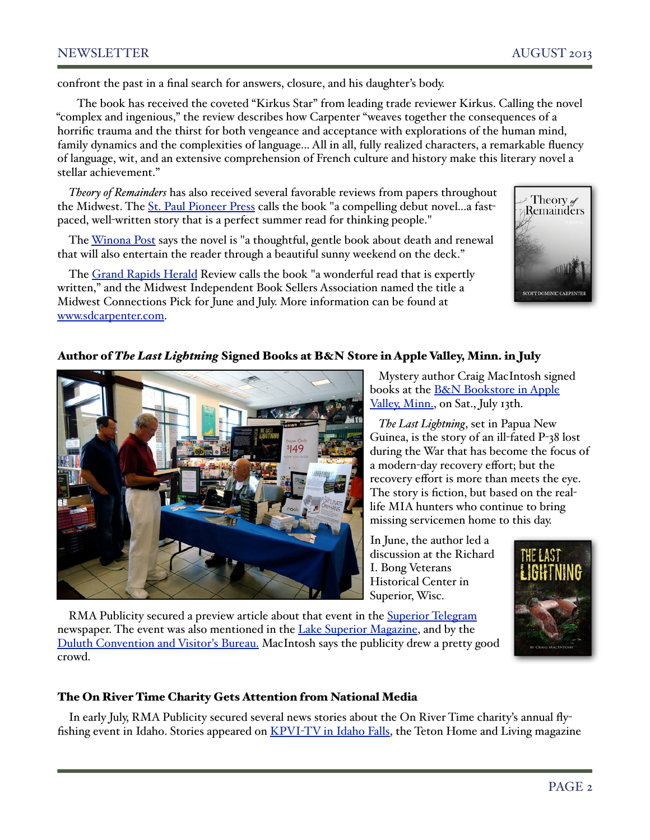## NEWSLETTER AUGUST 2013

confront the past in a final search for answers, closure, and his daughter's body.

 The book has received the coveted "Kirkus Star" from leading trade reviewer Kirkus. Calling the novel "complex and ingenious," the review describes how Carpenter "weaves together the consequences of a horrific trauma and the thirst for both vengeance and acceptance with explorations of the human mind, family dynamics and the complexities of language... All in all, fully realized characters, a remarkable fluency of language, wit, and an extensive comprehension of French culture and history make this literary novel a stellar achievement."

*Theory of Remainders* has also received several favorable reviews from papers throughout the Midwest. The [St. Paul Pioneer Press](http://www.twincities.com/entertainment/ci_23503989/minnesota-author-would-like-have-word-you) calls the book "a compelling debut novel...a fastpaced, well-written story that is a perfect summer read for thinking people."

The [Winona Post](http://www.winonapost.com/stock/functions/VDG_Pub/detail.php?choice=53209&home_page&archives) says the novel is "a thoughtful, gentle book about death and renewal that will also entertain the reader through a beautiful sunny weekend on the deck."

The [Grand Rapids Herald](http://www.grandrapidsmn.com/grand_people/article_fc7f1b84-bf36-11e2-8416-001a4bcf887a.html) Review calls the book "a wonderful read that is expertly written," and the Midwest Independent Book Sellers Association named the title a Midwest Connections Pick for June and July. More information can be found at [www.sdcarpenter.com.](http://www.sdcarpenter.com/theoryofremainders.html)



## Author of *The Last Lightning* Signed Books at B&N Store in Apple Valley, Minn. in July



 Mystery author Craig MacIntosh signed books at the **B&N Bookstore in Apple** [Valley, Minn.,](http://store-locator.barnesandnoble.com/event/4467213) on Sat., July 13th.

 *The Last Lightning*, set in Papua New Guinea, is the story of an ill-fated P-38 lost during the War that has become the focus of a modern-day recovery effort; but the recovery effort is more than meets the eye. The story is fiction, but based on the reallife MIA hunters who continue to bring missing servicemen home to this day.

In June, the author led a discussion at the Richard I. Bong Veterans Historical Center in Superior, Wisc.



RMA Publicity secured a preview article about that event in the **Superior Telegram** newspaper. The event was also mentioned in the [Lake Superior Magazine,](http://www.lakesuperior.com/events/%22the-last-lightning%22-with-author-craig-macintosh/) and by the [Duluth Convention and Visitor's Bureau.](http://visitduluth.com/events/calendar.php?month=6&year=2013) MacIntosh says the publicity drew a pretty good crowd.

## The On River Time Charity Gets Attention from National Media

In early July, RMA Publicity secured several news stories about the On River Time charity's annual fly-fishing event in Idaho. Stories appeared on KPVI-[TV in Idaho Falls,](http://www.kpvi.com/content/news/local/story/Fly-Fishing-Helps-Child-Abuse-Victims-Cope/pF3DW3O90Uu6hao7KLOBQw.cspx) the Teton Home and Living magazine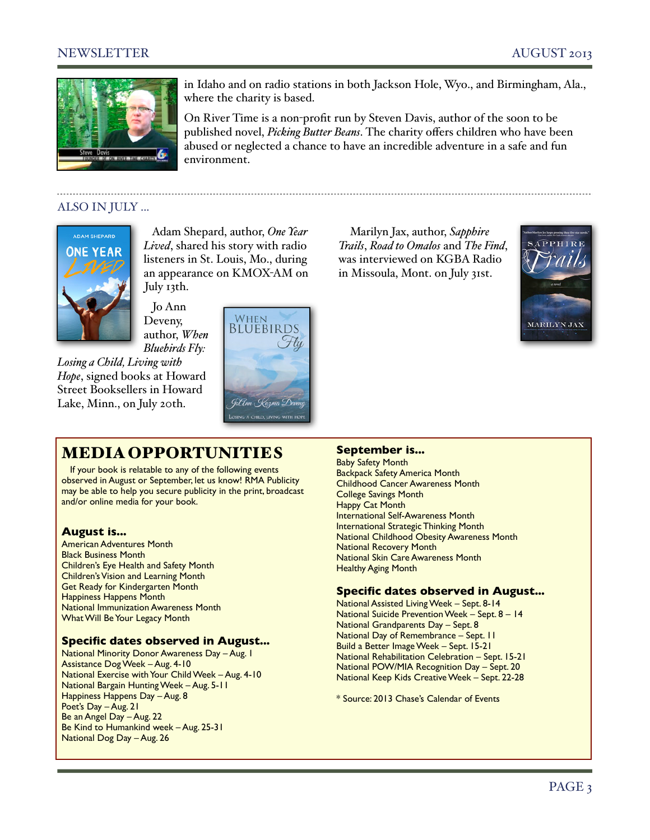## NEWSLETTER AUGUST 2013



in Idaho and on radio stations in both Jackson Hole, Wyo., and Birmingham, Ala., where the charity is based.

On River Time is a non-profit run by Steven Davis, author of the soon to be published novel, *Picking Butter Beans*. The charity offers children who have been abused or neglected a chance to have an incredible adventure in a safe and fun environment.

## ALSO IN JULY ...



 Adam Shepard, author, *One Year Lived*, shared his story with radio listeners in St. Louis, Mo., during an appearance on KMOX-AM on July 13th.

 Jo Ann Deveny, author, *When Bluebirds Fly:* 

*Losing a Child, Living with Hope*, signed books at Howard Street Booksellers in Howard Lake, Minn., on July 20th.



## MEDIA OPPORTUNITIES

If your book is relatable to any of the following events observed in August or September, let us know! RMA Publicity may be able to help you secure publicity in the print, broadcast and/or online media for your book.

## **August is...**

American Adventures Month Black Business Month Children's Eye Health and Safety Month Children's Vision and Learning Month Get Ready for Kindergarten Month Happiness Happens Month National Immunization Awareness Month What Will Be Your Legacy Month

## **Specific dates observed in August...**

National Minority Donor Awareness Day – Aug. 1 Assistance Dog Week – Aug. 4-10 National Exercise with Your Child Week – Aug. 4-10 National Bargain Hunting Week – Aug. 5-11 Happiness Happens Day – Aug. 8 Poet's Day – Aug. 21 Be an Angel Day – Aug. 22 Be Kind to Humankind week – Aug. 25-31 National Dog Day – Aug. 26

Marilyn Jax, author, *Sapphire Trails*, *Road to Omalos* and *The Find*, was interviewed on KGBA Radio in Missoula, Mont. on July 31st.



#### **September is...**

Baby Safety Month Backpack Safety America Month Childhood Cancer Awareness Month College Savings Month Happy Cat Month International Self-Awareness Month International Strategic Thinking Month National Childhood Obesity Awareness Month National Recovery Month National Skin Care Awareness Month Healthy Aging Month

#### **Specific dates observed in August...**

National Assisted Living Week – Sept. 8-14 National Suicide Prevention Week – Sept. 8 – 14 National Grandparents Day – Sept. 8 National Day of Remembrance – Sept. 11 Build a Better Image Week – Sept. 15-21 National Rehabilitation Celebration – Sept. 15-21 National POW/MIA Recognition Day – Sept. 20 National Keep Kids Creative Week – Sept. 22-28

\* Source: 2013 Chase's Calendar of Events